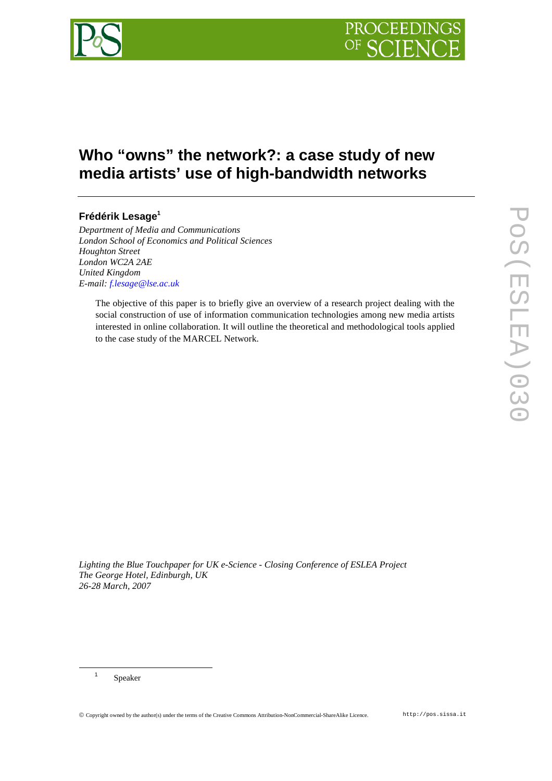

# **Who "owns" the network?: a case study of new media artists' use of high-bandwidth networks**

# **Frédérik Lesage<sup>1</sup>**

*Department of Media and Communications London School of Economics and Political Sciences Houghton Street London WC2A 2AE United Kingdom E-mail: f.lesage@lse.ac.uk* 

The objective of this paper is to briefly give an overview of a research project dealing with the social construction of use of information communication technologies among new media artists interested in online collaboration. It will outline the theoretical and methodological tools applied to the case study of the MARCEL Network.

*Lighting the Blue Touchpaper for UK e-Science - Closing Conference of ESLEA Project The George Hotel, Edinburgh, UK 26-28 March, 2007*

1 Speaker

 $\overline{a}$ 

Copyright owned by the author(s) under the terms of the Creative Commons Attribution-NonCommercial-ShareAlike Licence. http://pos.sissa.it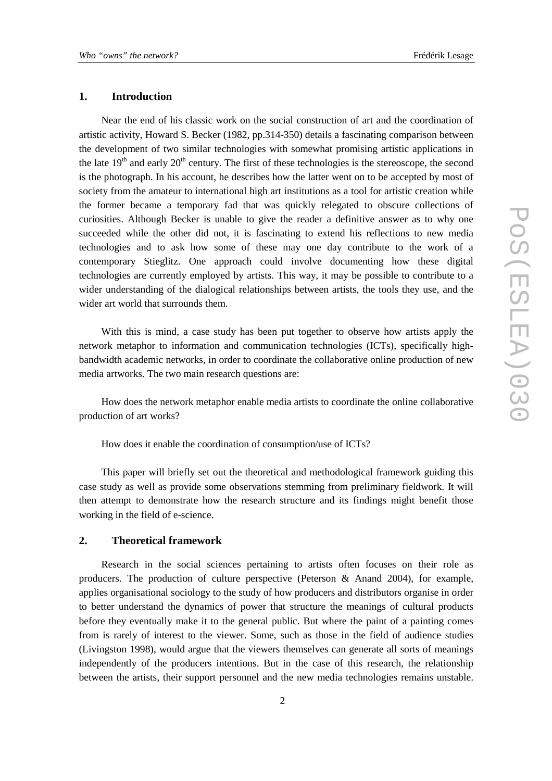#### **1. Introduction**

Near the end of his classic work on the social construction of art and the coordination of artistic activity, Howard S. Becker (1982, pp.314-350) details a fascinating comparison between the development of two similar technologies with somewhat promising artistic applications in the late  $19<sup>th</sup>$  and early  $20<sup>th</sup>$  century. The first of these technologies is the stereoscope, the second is the photograph. In his account, he describes how the latter went on to be accepted by most of society from the amateur to international high art institutions as a tool for artistic creation while the former became a temporary fad that was quickly relegated to obscure collections of curiosities. Although Becker is unable to give the reader a definitive answer as to why one succeeded while the other did not, it is fascinating to extend his reflections to new media technologies and to ask how some of these may one day contribute to the work of a contemporary Stieglitz. One approach could involve documenting how these digital technologies are currently employed by artists. This way, it may be possible to contribute to a wider understanding of the dialogical relationships between artists, the tools they use, and the wider art world that surrounds them.

With this is mind, a case study has been put together to observe how artists apply the network metaphor to information and communication technologies (ICTs), specifically highbandwidth academic networks, in order to coordinate the collaborative online production of new media artworks. The two main research questions are:

How does the network metaphor enable media artists to coordinate the online collaborative production of art works?

How does it enable the coordination of consumption/use of ICTs?

This paper will briefly set out the theoretical and methodological framework guiding this case study as well as provide some observations stemming from preliminary fieldwork. It will then attempt to demonstrate how the research structure and its findings might benefit those working in the field of e-science.

#### **2. Theoretical framework**

Research in the social sciences pertaining to artists often focuses on their role as producers. The production of culture perspective (Peterson & Anand 2004), for example, applies organisational sociology to the study of how producers and distributors organise in order to better understand the dynamics of power that structure the meanings of cultural products before they eventually make it to the general public. But where the paint of a painting comes from is rarely of interest to the viewer. Some, such as those in the field of audience studies (Livingston 1998), would argue that the viewers themselves can generate all sorts of meanings independently of the producers intentions. But in the case of this research, the relationship between the artists, their support personnel and the new media technologies remains unstable.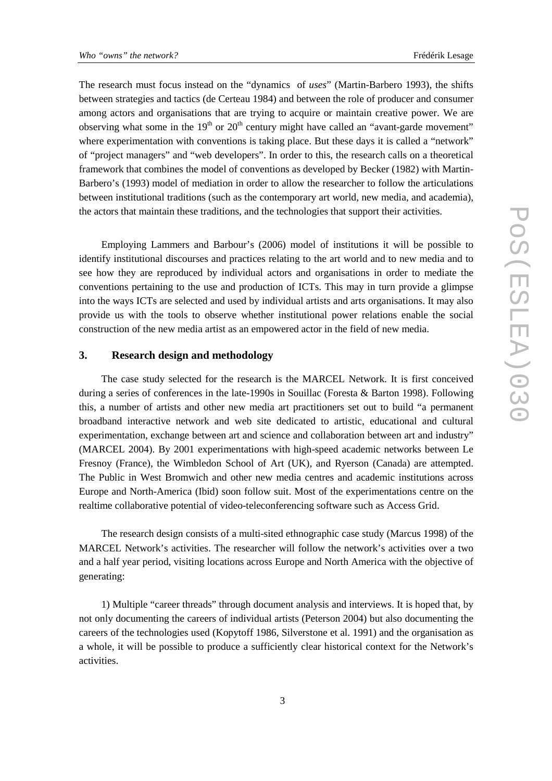The research must focus instead on the "dynamics of *uses*" (Martin-Barbero 1993), the shifts between strategies and tactics (de Certeau 1984) and between the role of producer and consumer among actors and organisations that are trying to acquire or maintain creative power. We are observing what some in the  $19<sup>th</sup>$  or  $20<sup>th</sup>$  century might have called an "avant-garde movement" where experimentation with conventions is taking place. But these days it is called a "network" of "project managers" and "web developers". In order to this, the research calls on a theoretical framework that combines the model of conventions as developed by Becker (1982) with Martin-Barbero's (1993) model of mediation in order to allow the researcher to follow the articulations between institutional traditions (such as the contemporary art world, new media, and academia), the actors that maintain these traditions, and the technologies that support their activities.

Employing Lammers and Barbour's (2006) model of institutions it will be possible to identify institutional discourses and practices relating to the art world and to new media and to see how they are reproduced by individual actors and organisations in order to mediate the conventions pertaining to the use and production of ICTs. This may in turn provide a glimpse into the ways ICTs are selected and used by individual artists and arts organisations. It may also provide us with the tools to observe whether institutional power relations enable the social construction of the new media artist as an empowered actor in the field of new media.

#### **3. Research design and methodology**

The case study selected for the research is the MARCEL Network. It is first conceived during a series of conferences in the late-1990s in Souillac (Foresta & Barton 1998). Following this, a number of artists and other new media art practitioners set out to build "a permanent broadband interactive network and web site dedicated to artistic, educational and cultural experimentation, exchange between art and science and collaboration between art and industry" (MARCEL 2004). By 2001 experimentations with high-speed academic networks between Le Fresnoy (France), the Wimbledon School of Art (UK), and Ryerson (Canada) are attempted. The Public in West Bromwich and other new media centres and academic institutions across Europe and North-America (Ibid) soon follow suit. Most of the experimentations centre on the realtime collaborative potential of video-teleconferencing software such as Access Grid.

The research design consists of a multi-sited ethnographic case study (Marcus 1998) of the MARCEL Network's activities. The researcher will follow the network's activities over a two and a half year period, visiting locations across Europe and North America with the objective of generating:

1) Multiple "career threads" through document analysis and interviews. It is hoped that, by not only documenting the careers of individual artists (Peterson 2004) but also documenting the careers of the technologies used (Kopytoff 1986, Silverstone et al. 1991) and the organisation as a whole, it will be possible to produce a sufficiently clear historical context for the Network's activities.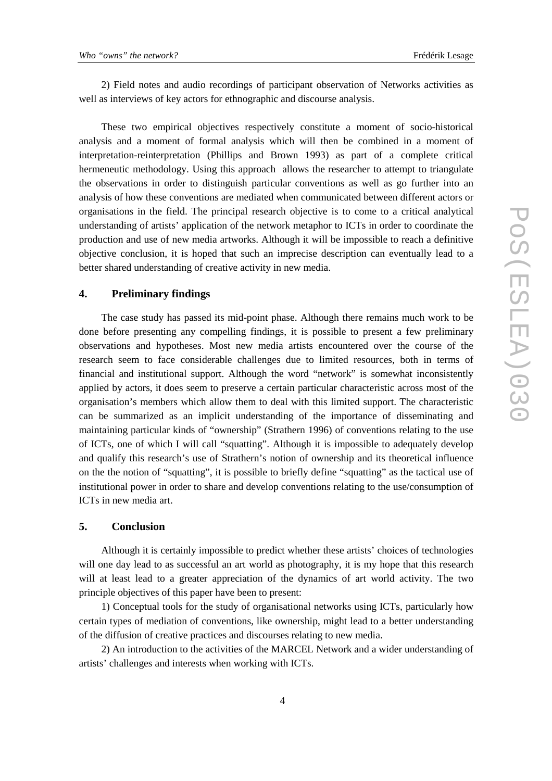2) Field notes and audio recordings of participant observation of Networks activities as well as interviews of key actors for ethnographic and discourse analysis.

These two empirical objectives respectively constitute a moment of socio-historical analysis and a moment of formal analysis which will then be combined in a moment of interpretation-reinterpretation (Phillips and Brown 1993) as part of a complete critical hermeneutic methodology. Using this approach allows the researcher to attempt to triangulate the observations in order to distinguish particular conventions as well as go further into an analysis of how these conventions are mediated when communicated between different actors or organisations in the field. The principal research objective is to come to a critical analytical understanding of artists' application of the network metaphor to ICTs in order to coordinate the production and use of new media artworks. Although it will be impossible to reach a definitive objective conclusion, it is hoped that such an imprecise description can eventually lead to a better shared understanding of creative activity in new media.

#### **4. Preliminary findings**

The case study has passed its mid-point phase. Although there remains much work to be done before presenting any compelling findings, it is possible to present a few preliminary observations and hypotheses. Most new media artists encountered over the course of the research seem to face considerable challenges due to limited resources, both in terms of financial and institutional support. Although the word "network" is somewhat inconsistently applied by actors, it does seem to preserve a certain particular characteristic across most of the organisation's members which allow them to deal with this limited support. The characteristic can be summarized as an implicit understanding of the importance of disseminating and maintaining particular kinds of "ownership" (Strathern 1996) of conventions relating to the use of ICTs, one of which I will call "squatting". Although it is impossible to adequately develop and qualify this research's use of Strathern's notion of ownership and its theoretical influence on the the notion of "squatting", it is possible to briefly define "squatting" as the tactical use of institutional power in order to share and develop conventions relating to the use/consumption of ICTs in new media art.

### **5. Conclusion**

Although it is certainly impossible to predict whether these artists' choices of technologies will one day lead to as successful an art world as photography, it is my hope that this research will at least lead to a greater appreciation of the dynamics of art world activity. The two principle objectives of this paper have been to present:

1) Conceptual tools for the study of organisational networks using ICTs, particularly how certain types of mediation of conventions, like ownership, might lead to a better understanding of the diffusion of creative practices and discourses relating to new media.

2) An introduction to the activities of the MARCEL Network and a wider understanding of artists' challenges and interests when working with ICTs.